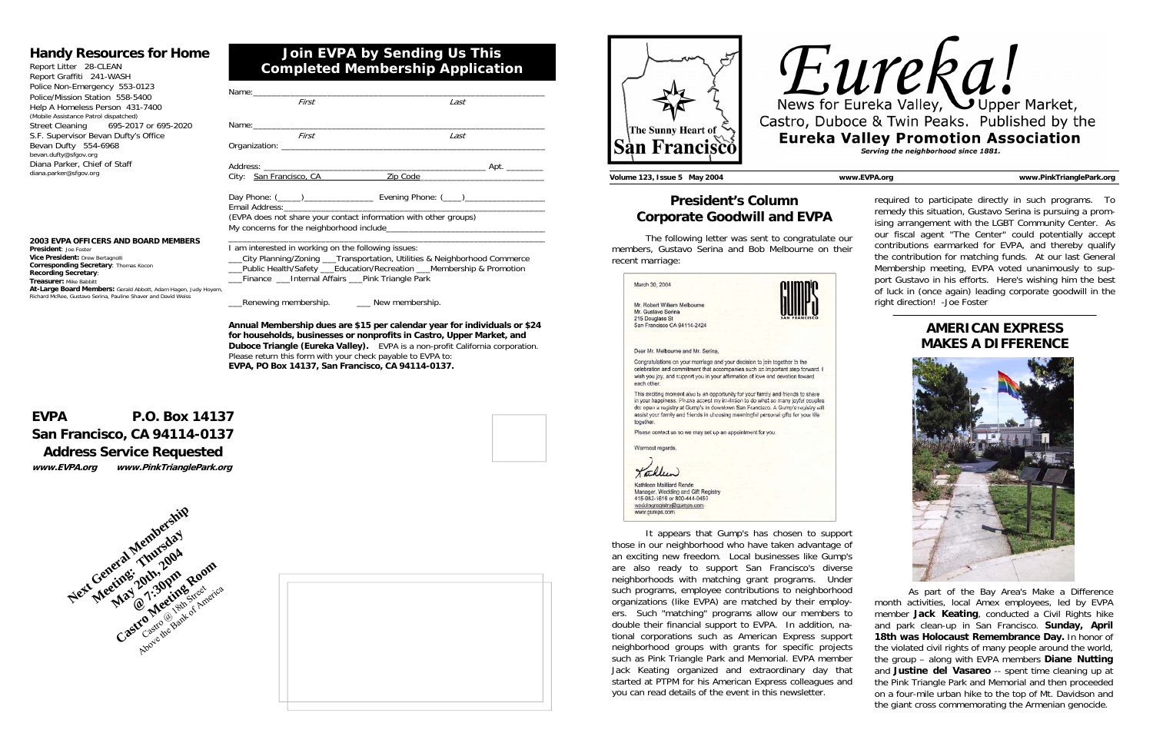| Name: when the contract of the contract of the contract of the contract of the contract of the contract of the |      |
|----------------------------------------------------------------------------------------------------------------|------|
| First                                                                                                          | Last |
|                                                                                                                |      |
|                                                                                                                |      |
| First                                                                                                          | Last |
|                                                                                                                |      |
|                                                                                                                |      |
|                                                                                                                |      |
|                                                                                                                |      |
|                                                                                                                |      |
|                                                                                                                |      |
|                                                                                                                |      |
| (EVPA does not share your contact information with other groups)                                               |      |
|                                                                                                                |      |
|                                                                                                                |      |
| I am interested in working on the following issues:                                                            |      |
|                                                                                                                |      |

\_\_\_City Planning/Zoning \_\_\_Transportation, Utilities & Neighborhood Commerce Public Health/Safety Education/Recreation Membership & Promotion Finance Linternal Affairs Pink Triangle Park

\_\_\_Renewing membership. \_\_\_ New membership.

**Annual Membership dues are \$15 per calendar year for individuals or \$24 for households, businesses or nonprofits in Castro, Upper Market, and Duboce Triangle (Eureka Valley).** EVPA is a non-profit California corporation. Please return this form with your check payable to EVPA to: **EVPA, PO Box 14137, San Francisco, CA 94114-0137.**

# **Join EVPA by Sending Us This Completed Membership Application**

## **Handy Resources for Home**

Report Litter 28-CLEAN Report Graffiti 241-WASH Police Non-Emergency 553-0123 Police/Mission Station 558-5400 Help A Homeless Person 431-7400 (Mobile Assistance Patrol dispatched) Street Cleaning 695-2017 or 695-2020 S.F. Supervisor Bevan Dufty's Office Bevan Dufty 554-6968 bevan.dufty@sfgov.org Diana Parker, Chief of Staff diana.parker@sfgov.org

# **EVPA P.O. Box 14137 San Francisco, CA 94114-0137 Address Service Requested**

**www.EVPA.org www.PinkTrianglePark.org** 



## **2003 EVPA OFFICERS AND BOARD MEMBERS**

**President**: Joe Foster**Vice President:** Drew Bertagnolli **Corresponding Secretary**: Thomas Kocon **Recording Secretary**: **Treasurer:** Mike Babbitt **At-Large Board Members:** Gerald Abbott, Adam Hagen, Judy Hoyem, Richard McRee, Gustavo Serina, Pauline Shaver and David Weiss







required to participate directly in such programs. To remedy this situation, Gustavo Serina is pursuing a promising arrangement with the LGBT Community Center. As our fiscal agent "The Center" could potentially accept contributions earmarked for EVPA, and thereby qualify the contribution for matching funds. At our last General Membership meeting, EVPA voted unanimously to support Gustavo in his efforts. Here's wishing him the best of luck in (once again) leading corporate goodwill in the right direction! -Joe Foster

 The following letter was sent to congratulate our members, Gustavo Serina and Bob Melbourne on their recent marriage:

| March 30, 2004                                                                                                                                                                                                                                                                                                                                             |  |
|------------------------------------------------------------------------------------------------------------------------------------------------------------------------------------------------------------------------------------------------------------------------------------------------------------------------------------------------------------|--|
| Mr. Robert William Melbourne<br>Mr. Gustavo Serina<br>215 Douglass St<br>San Francisco CA 94114-2424                                                                                                                                                                                                                                                       |  |
| Dear Mr. Melbourne and Mr. Serina.                                                                                                                                                                                                                                                                                                                         |  |
| Congratulations on your marriage and your decision to join together in the<br>celebration and commitment that accompanies such an important step forward. I<br>wish you joy, and support you in your affirmation of love and devotion toward<br>each other.                                                                                                |  |
| This exciting moment also is an opportunity for your family and friends to share<br>in your happiness. Please accept my invitation to do what so many joyful couples<br>do: open a registry at Gump's in downlown San Francisco. A Gump's registry will<br>assist your family and friends in choosing meaningful personal gifts for your life<br>together. |  |
| Please contact us so we may set up an appointment for you.                                                                                                                                                                                                                                                                                                 |  |
| Warmest regards.                                                                                                                                                                                                                                                                                                                                           |  |
| Korflen)                                                                                                                                                                                                                                                                                                                                                   |  |
| Kathleen Mailliard Rende<br>Manager, Wedding and Gift Registry<br>415-982-1616 or 800-444-0450<br>weddingregistry@gumps.com<br>www.aumps.com                                                                                                                                                                                                               |  |

 It appears that Gump's has chosen to support those in our neighborhood who have taken advantage of an exciting new freedom. Local businesses like Gump's are also ready to support San Francisco's diverse neighborhoods with matching grant programs. Under such programs, employee contributions to neighborhood organizations (like EVPA) are matched by their employers. Such "matching" programs allow our members to double their financial support to EVPA. In addition, national corporations such as American Express support neighborhood groups with grants for specific projects such as Pink Triangle Park and Memorial. EVPA member Jack Keating organized and extraordinary day that started at PTPM for his American Express colleagues and you can read details of the event in this newsletter. As part of the Bay Area's Make a Difference month activities, local Amex employees, led by EVPA member **Jack Keating**, conducted a Civil Rights hike and park clean-up in San Francisco. **Sunday, April 18th was Holocaust Remembrance Day.** In honor of the violated civil rights of many people around the world, the group – along with EVPA members **Diane Nutting** and **Justine del Vasareo** -- spent time cleaning up at the Pink Triangle Park and Memorial and then proceeded on a four-mile urban hike to the top of Mt. Davidson and the giant cross commemorating the Armenian genocide.

# **President's Column Corporate Goodwill and EVPA**

**Volume 123, Issue 5 May 2004 www.EVPA.org www.PinkTrianglePark.org** 

# **AMERICAN EXPRESS MAKES A DIFFERENCE**